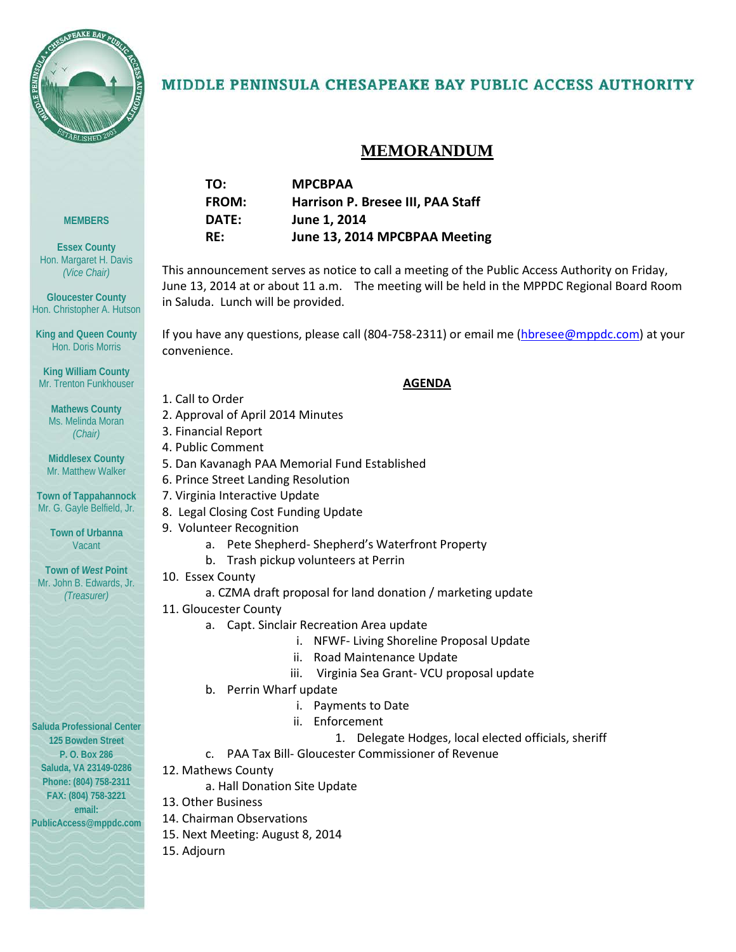

### MIDDLE PENINSULA CHESAPEAKE BAY PUBLIC ACCESS AUTHORITY

## **MEMORANDUM**

| TO:          | <b>MPCBPAA</b>                    |
|--------------|-----------------------------------|
| <b>FROM:</b> | Harrison P. Bresee III, PAA Staff |
| DATE:        | June 1, 2014                      |
| RF:          | June 13, 2014 MPCBPAA Meeting     |

This announcement serves as notice to call a meeting of the Public Access Authority on Friday, June 13, 2014 at or about 11 a.m. The meeting will be held in the MPPDC Regional Board Room in Saluda. Lunch will be provided.

If you have any questions, please call (804-758-2311) or email me [\(hbresee@mppdc.com\)](mailto:hbresee@mppdc.com) at your convenience.

#### **AGENDA**

- 1. Call to Order
- 2. Approval of April 2014 Minutes
- 3. Financial Report
- 4. Public Comment
- 5. Dan Kavanagh PAA Memorial Fund Established
- 6. Prince Street Landing Resolution
- 7. Virginia Interactive Update
	- 8. Legal Closing Cost Funding Update
- 9. Volunteer Recognition
	- a. Pete Shepherd- Shepherd's Waterfront Property
	- b. Trash pickup volunteers at Perrin
- 10. Essex County
	- a. CZMA draft proposal for land donation / marketing update
- 11. Gloucester County
	- a. Capt. Sinclair Recreation Area update
		- i. NFWF- Living Shoreline Proposal Update
		- ii. Road Maintenance Update
		- iii. Virginia Sea Grant- VCU proposal update
	- b. Perrin Wharf update
		- i. Payments to Date
		- ii. Enforcement
			- 1. Delegate Hodges, local elected officials, sheriff
	- c. PAA Tax Bill- Gloucester Commissioner of Revenue
- 12. Mathews County
	- a. Hall Donation Site Update
- 13. Other Business
- 14. Chairman Observations
- 15. Next Meeting: August 8, 2014
- 15. Adjourn

**Essex County** Hon. Margaret H. Davis *(Vice Chair)*

**MEMBERS**

**Gloucester County** Hon. Christopher A. Hutson

**King and Queen County** Hon. Doris Morris

**King William County** Mr. Trenton Funkhouser

**Mathews County** Ms. Melinda Moran *(Chair)*

**Middlesex County** Mr. Matthew Walker

**Town of Tappahannock** Mr. G. Gayle Belfield, Jr.

> **Town of Urbanna** Vacant

**Town of** *West* **Point** Mr. John B. Edwards, Jr. *(Treasurer)*

**Saluda Professional Center 125 Bowden Street P. O. Box 286 Saluda, VA 23149-0286 Phone: (804) 758-2311 FAX: (804) 758-3221 email:** 

**PublicAccess@mppdc.com**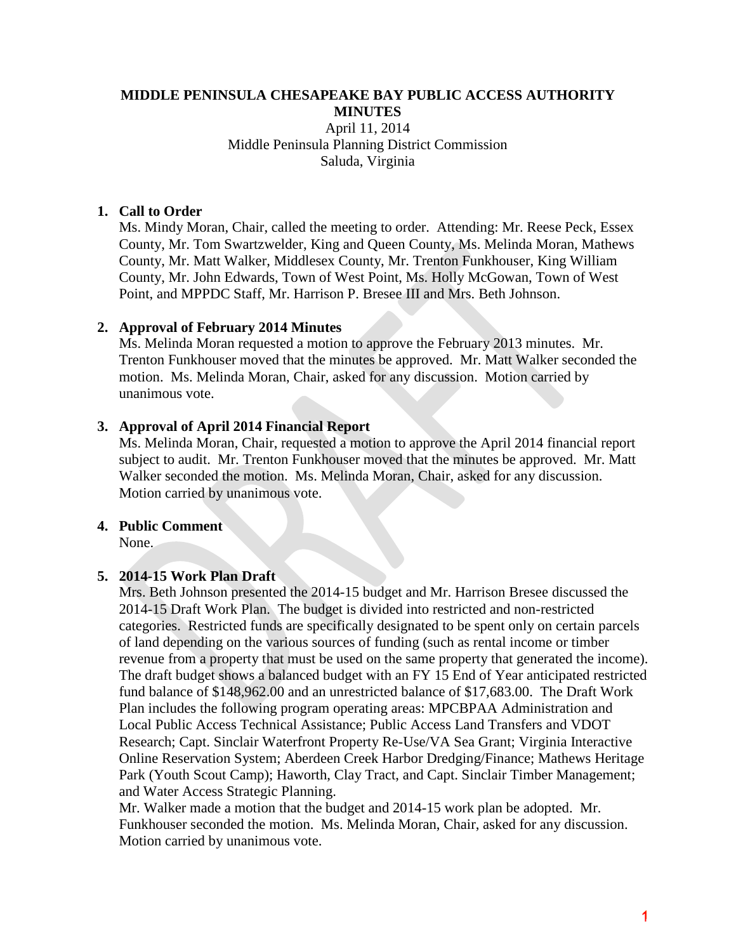#### **MIDDLE PENINSULA CHESAPEAKE BAY PUBLIC ACCESS AUTHORITY MINUTES** April 11, 2014 Middle Peninsula Planning District Commission Saluda, Virginia

#### **1. Call to Order**

Ms. Mindy Moran, Chair, called the meeting to order. Attending: Mr. Reese Peck, Essex County, Mr. Tom Swartzwelder, King and Queen County, Ms. Melinda Moran, Mathews County, Mr. Matt Walker, Middlesex County, Mr. Trenton Funkhouser, King William County, Mr. John Edwards, Town of West Point, Ms. Holly McGowan, Town of West Point, and MPPDC Staff, Mr. Harrison P. Bresee III and Mrs. Beth Johnson.

#### **2. Approval of February 2014 Minutes**

Ms. Melinda Moran requested a motion to approve the February 2013 minutes. Mr. Trenton Funkhouser moved that the minutes be approved. Mr. Matt Walker seconded the motion. Ms. Melinda Moran, Chair, asked for any discussion. Motion carried by unanimous vote.

#### **3. Approval of April 2014 Financial Report**

Ms. Melinda Moran, Chair, requested a motion to approve the April 2014 financial report subject to audit. Mr. Trenton Funkhouser moved that the minutes be approved. Mr. Matt Walker seconded the motion. Ms. Melinda Moran, Chair, asked for any discussion. Motion carried by unanimous vote.

#### **4. Public Comment**

None.

#### **5. 2014-15 Work Plan Draft**

Mrs. Beth Johnson presented the 2014-15 budget and Mr. Harrison Bresee discussed the 2014-15 Draft Work Plan. The budget is divided into restricted and non-restricted categories. Restricted funds are specifically designated to be spent only on certain parcels of land depending on the various sources of funding (such as rental income or timber revenue from a property that must be used on the same property that generated the income). The draft budget shows a balanced budget with an FY 15 End of Year anticipated restricted fund balance of \$148,962.00 and an unrestricted balance of \$17,683.00. The Draft Work Plan includes the following program operating areas: MPCBPAA Administration and Local Public Access Technical Assistance; Public Access Land Transfers and VDOT Research; Capt. Sinclair Waterfront Property Re-Use/VA Sea Grant; Virginia Interactive Online Reservation System; Aberdeen Creek Harbor Dredging/Finance; Mathews Heritage Park (Youth Scout Camp); Haworth, Clay Tract, and Capt. Sinclair Timber Management; and Water Access Strategic Planning.

Mr. Walker made a motion that the budget and 2014-15 work plan be adopted. Mr. Funkhouser seconded the motion. Ms. Melinda Moran, Chair, asked for any discussion. Motion carried by unanimous vote.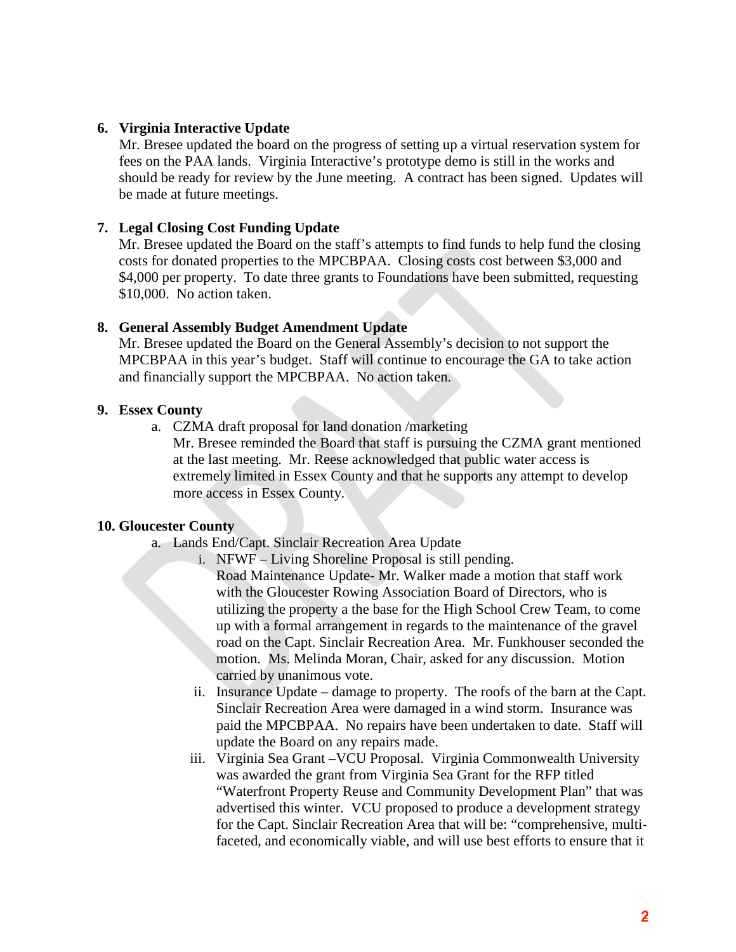#### **6. Virginia Interactive Update**

Mr. Bresee updated the board on the progress of setting up a virtual reservation system for fees on the PAA lands. Virginia Interactive's prototype demo is still in the works and should be ready for review by the June meeting. A contract has been signed. Updates will be made at future meetings.

#### **7. Legal Closing Cost Funding Update**

Mr. Bresee updated the Board on the staff's attempts to find funds to help fund the closing costs for donated properties to the MPCBPAA. Closing costs cost between \$3,000 and \$4,000 per property. To date three grants to Foundations have been submitted, requesting \$10,000. No action taken.

#### **8. General Assembly Budget Amendment Update**

Mr. Bresee updated the Board on the General Assembly's decision to not support the MPCBPAA in this year's budget. Staff will continue to encourage the GA to take action and financially support the MPCBPAA. No action taken.

#### **9. Essex County**

a. CZMA draft proposal for land donation /marketing

Mr. Bresee reminded the Board that staff is pursuing the CZMA grant mentioned at the last meeting. Mr. Reese acknowledged that public water access is extremely limited in Essex County and that he supports any attempt to develop more access in Essex County.

#### **10. Gloucester County**

- a. Lands End/Capt. Sinclair Recreation Area Update
	- i. NFWF Living Shoreline Proposal is still pending.

Road Maintenance Update- Mr. Walker made a motion that staff work with the Gloucester Rowing Association Board of Directors, who is utilizing the property a the base for the High School Crew Team, to come up with a formal arrangement in regards to the maintenance of the gravel road on the Capt. Sinclair Recreation Area. Mr. Funkhouser seconded the motion. Ms. Melinda Moran, Chair, asked for any discussion. Motion carried by unanimous vote.

- ii. Insurance Update damage to property. The roofs of the barn at the Capt. Sinclair Recreation Area were damaged in a wind storm. Insurance was paid the MPCBPAA. No repairs have been undertaken to date. Staff will update the Board on any repairs made.
- iii. Virginia Sea Grant –VCU Proposal. Virginia Commonwealth University was awarded the grant from Virginia Sea Grant for the RFP titled "Waterfront Property Reuse and Community Development Plan" that was advertised this winter. VCU proposed to produce a development strategy for the Capt. Sinclair Recreation Area that will be: "comprehensive, multifaceted, and economically viable, and will use best efforts to ensure that it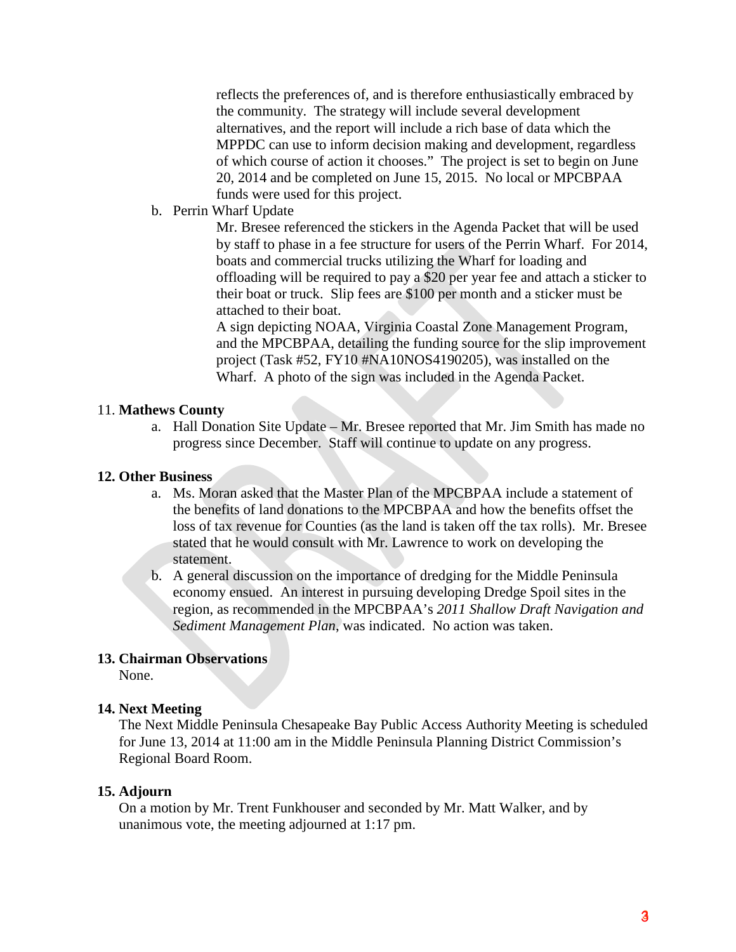reflects the preferences of, and is therefore enthusiastically embraced by the community. The strategy will include several development alternatives, and the report will include a rich base of data which the MPPDC can use to inform decision making and development, regardless of which course of action it chooses." The project is set to begin on June 20, 2014 and be completed on June 15, 2015. No local or MPCBPAA funds were used for this project.

b. Perrin Wharf Update

Mr. Bresee referenced the stickers in the Agenda Packet that will be used by staff to phase in a fee structure for users of the Perrin Wharf. For 2014, boats and commercial trucks utilizing the Wharf for loading and offloading will be required to pay a \$20 per year fee and attach a sticker to their boat or truck. Slip fees are \$100 per month and a sticker must be attached to their boat.

A sign depicting NOAA, Virginia Coastal Zone Management Program, and the MPCBPAA, detailing the funding source for the slip improvement project (Task #52, FY10 #NA10NOS4190205), was installed on the Wharf. A photo of the sign was included in the Agenda Packet.

#### 11. **Mathews County**

a. Hall Donation Site Update – Mr. Bresee reported that Mr. Jim Smith has made no progress since December. Staff will continue to update on any progress.

#### **12. Other Business**

- a. Ms. Moran asked that the Master Plan of the MPCBPAA include a statement of the benefits of land donations to the MPCBPAA and how the benefits offset the loss of tax revenue for Counties (as the land is taken off the tax rolls). Mr. Bresee stated that he would consult with Mr. Lawrence to work on developing the statement.
- b. A general discussion on the importance of dredging for the Middle Peninsula economy ensued. An interest in pursuing developing Dredge Spoil sites in the region, as recommended in the MPCBPAA's *2011 Shallow Draft Navigation and Sediment Management Plan*, was indicated. No action was taken.

#### **13. Chairman Observations**

None.

#### **14. Next Meeting**

The Next Middle Peninsula Chesapeake Bay Public Access Authority Meeting is scheduled for June 13, 2014 at 11:00 am in the Middle Peninsula Planning District Commission's Regional Board Room.

#### **15. Adjourn**

On a motion by Mr. Trent Funkhouser and seconded by Mr. Matt Walker, and by unanimous vote, the meeting adjourned at 1:17 pm.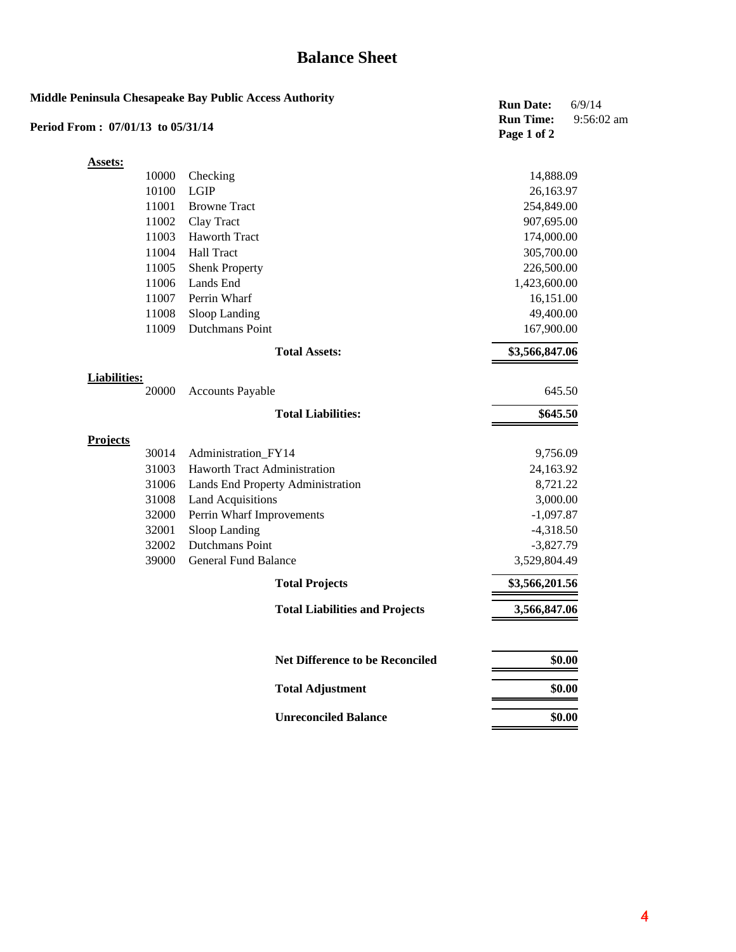## **Balance Sheet**

| <b>Middle Peninsula Chesapeake Bay Public Access Authority</b> |       |                                        | <b>Run Date:</b><br><b>Run Time:</b> | 6/9/14<br>9:56:02 am |
|----------------------------------------------------------------|-------|----------------------------------------|--------------------------------------|----------------------|
| Period From: 07/01/13 to 05/31/14                              |       |                                        | Page 1 of 2                          |                      |
| <b>Assets:</b>                                                 |       |                                        |                                      |                      |
|                                                                | 10000 | Checking                               | 14,888.09                            |                      |
|                                                                | 10100 | <b>LGIP</b>                            | 26,163.97                            |                      |
|                                                                | 11001 | <b>Browne Tract</b>                    | 254,849.00                           |                      |
|                                                                | 11002 | Clay Tract                             | 907,695.00                           |                      |
|                                                                | 11003 | Haworth Tract                          | 174,000.00                           |                      |
|                                                                | 11004 | <b>Hall Tract</b>                      | 305,700.00                           |                      |
|                                                                | 11005 | <b>Shenk Property</b>                  | 226,500.00                           |                      |
|                                                                | 11006 | Lands End                              | 1,423,600.00                         |                      |
|                                                                | 11007 | Perrin Wharf                           | 16,151.00                            |                      |
|                                                                | 11008 | Sloop Landing                          | 49,400.00                            |                      |
|                                                                | 11009 | Dutchmans Point                        | 167,900.00                           |                      |
|                                                                |       | <b>Total Assets:</b>                   | \$3,566,847.06                       |                      |
| <b>Liabilities:</b>                                            |       |                                        |                                      |                      |
|                                                                | 20000 | <b>Accounts Payable</b>                | 645.50                               |                      |
|                                                                |       | <b>Total Liabilities:</b>              | \$645.50                             |                      |
| <b>Projects</b>                                                |       |                                        |                                      |                      |
|                                                                | 30014 | Administration_FY14                    | 9,756.09                             |                      |
|                                                                | 31003 | Haworth Tract Administration           | 24,163.92                            |                      |
|                                                                | 31006 | Lands End Property Administration      | 8,721.22                             |                      |
|                                                                | 31008 | <b>Land Acquisitions</b>               | 3,000.00                             |                      |
|                                                                | 32000 | Perrin Wharf Improvements              | $-1,097.87$                          |                      |
|                                                                | 32001 | Sloop Landing                          | $-4,318.50$                          |                      |
|                                                                | 32002 | Dutchmans Point                        | $-3,827.79$                          |                      |
|                                                                | 39000 | <b>General Fund Balance</b>            | 3,529,804.49                         |                      |
|                                                                |       | <b>Total Projects</b>                  | \$3,566,201.56                       |                      |
|                                                                |       | <b>Total Liabilities and Projects</b>  | 3,566,847.06                         |                      |
|                                                                |       | <b>Net Difference to be Reconciled</b> |                                      | \$0.00               |
|                                                                |       | <b>Total Adjustment</b>                |                                      | \$0.00               |
|                                                                |       | <b>Unreconciled Balance</b>            |                                      | \$0.00               |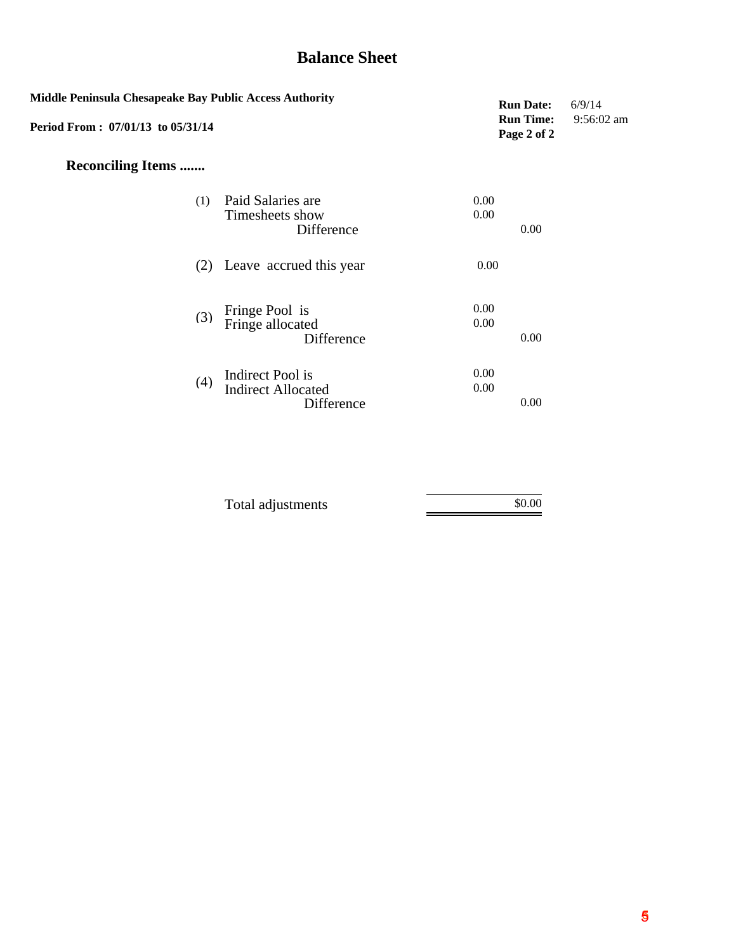# **Balance Sheet**

| Middle Peninsula Chesapeake Bay Public Access Authority<br>Period From: 07/01/13 to 05/31/14 |                                                             |              |      | 6/9/14<br>$9:56:02$ am |
|----------------------------------------------------------------------------------------------|-------------------------------------------------------------|--------------|------|------------------------|
| <b>Reconciling Items </b>                                                                    |                                                             |              |      |                        |
| (1)                                                                                          | Paid Salaries are<br>Timesheets show<br>Difference          | 0.00<br>0.00 | 0.00 |                        |
|                                                                                              | (2) Leave accrued this year                                 | 0.00         |      |                        |
| (3)                                                                                          | Fringe Pool is<br>Fringe allocated<br>Difference            | 0.00<br>0.00 | 0.00 |                        |
| (4)                                                                                          | Indirect Pool is<br><b>Indirect Allocated</b><br>Difference | 0.00<br>0.00 | 0.00 |                        |

| Total adjustments | \$0.00 |
|-------------------|--------|
|                   |        |
|                   |        |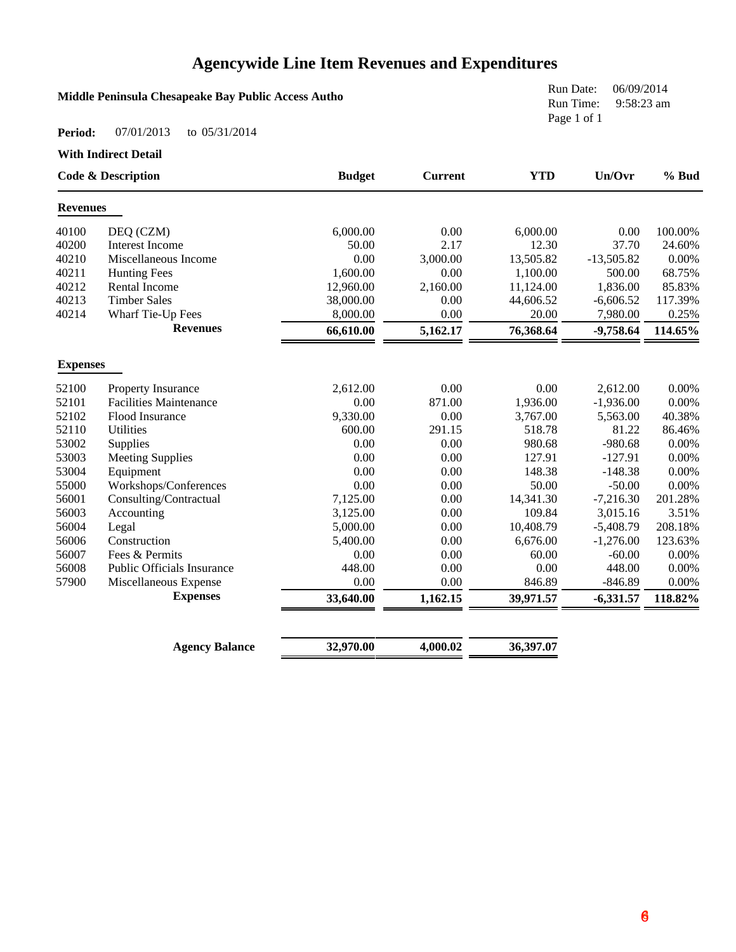# **Agencywide Line Item Revenues and Expenditures**

#### **Middle Peninsula Chesapeake Bay Public Access Autho**

Run Date: 06/09/2014 Run Time: 9:58:23 am Page 1 of 1

#### **Period:** 07/01/2013 to 05/31/2014

**With Indirect Detail**

| <b>Code &amp; Description</b> |                                   | <b>Budget</b> | <b>Current</b> | <b>YTD</b> | Un/Ovr       | $%$ Bud |
|-------------------------------|-----------------------------------|---------------|----------------|------------|--------------|---------|
| <b>Revenues</b>               |                                   |               |                |            |              |         |
| 40100                         | DEQ (CZM)                         | 6,000.00      | 0.00           | 6,000.00   | 0.00         | 100.00% |
| 40200                         | <b>Interest Income</b>            | 50.00         | 2.17           | 12.30      | 37.70        | 24.60%  |
| 40210                         | Miscellaneous Income              | 0.00          | 3,000.00       | 13,505.82  | $-13,505.82$ | 0.00%   |
| 40211                         | <b>Hunting Fees</b>               | 1,600.00      | 0.00           | 1,100.00   | 500.00       | 68.75%  |
| 40212                         | <b>Rental Income</b>              | 12,960.00     | 2,160.00       | 11,124.00  | 1,836.00     | 85.83%  |
| 40213                         | <b>Timber Sales</b>               | 38,000.00     | 0.00           | 44,606.52  | $-6,606.52$  | 117.39% |
| 40214                         | Wharf Tie-Up Fees                 | 8,000.00      | 0.00           | 20.00      | 7,980.00     | 0.25%   |
|                               | <b>Revenues</b>                   | 66,610.00     | 5,162.17       | 76,368.64  | $-9,758.64$  | 114.65% |
| <b>Expenses</b>               |                                   |               |                |            |              |         |
| 52100                         | Property Insurance                | 2,612.00      | 0.00           | 0.00       | 2,612.00     | 0.00%   |
| 52101                         | <b>Facilities Maintenance</b>     | 0.00          | 871.00         | 1,936.00   | $-1,936.00$  | 0.00%   |
| 52102                         | Flood Insurance                   | 9,330.00      | 0.00           | 3,767.00   | 5,563.00     | 40.38%  |
| 52110                         | <b>Utilities</b>                  | 600.00        | 291.15         | 518.78     | 81.22        | 86.46%  |
| 53002                         | Supplies                          | 0.00          | 0.00           | 980.68     | $-980.68$    | 0.00%   |
| 53003                         | <b>Meeting Supplies</b>           | 0.00          | 0.00           | 127.91     | $-127.91$    | 0.00%   |
| 53004                         | Equipment                         | 0.00          | 0.00           | 148.38     | $-148.38$    | 0.00%   |
| 55000                         | Workshops/Conferences             | 0.00          | 0.00           | 50.00      | $-50.00$     | 0.00%   |
| 56001                         | Consulting/Contractual            | 7,125.00      | 0.00           | 14,341.30  | $-7,216.30$  | 201.28% |
| 56003                         | Accounting                        | 3,125.00      | 0.00           | 109.84     | 3,015.16     | 3.51%   |
| 56004                         | Legal                             | 5,000.00      | 0.00           | 10,408.79  | $-5,408.79$  | 208.18% |
| 56006                         | Construction                      | 5,400.00      | 0.00           | 6,676.00   | $-1,276.00$  | 123.63% |
| 56007                         | Fees & Permits                    | 0.00          | 0.00           | 60.00      | $-60.00$     | 0.00%   |
| 56008                         | <b>Public Officials Insurance</b> | 448.00        | 0.00           | 0.00       | 448.00       | 0.00%   |
| 57900                         | Miscellaneous Expense             | 0.00          | 0.00           | 846.89     | $-846.89$    | 0.00%   |
|                               | <b>Expenses</b>                   | 33,640.00     | 1,162.15       | 39,971.57  | $-6,331.57$  | 118.82% |
|                               |                                   |               |                |            |              |         |
|                               | <b>Agency Balance</b>             | 32,970.00     | 4,000.02       | 36,397.07  |              |         |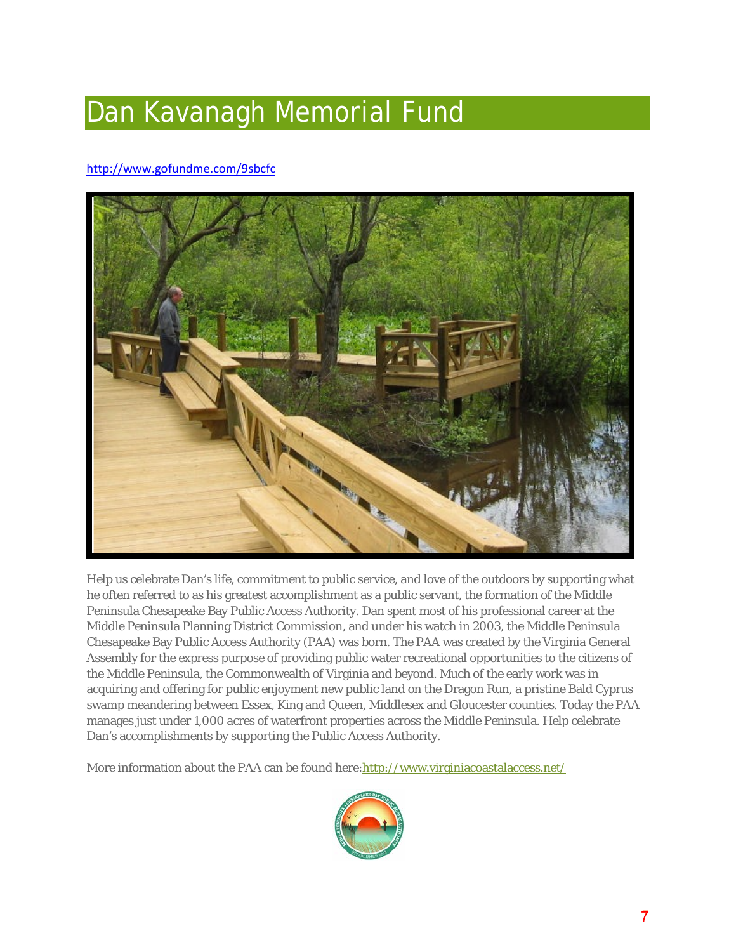# Dan Kavanagh Memorial Fund

#### <http://www.gofundme.com/9sbcfc>



Help us celebrate Dan's life, commitment to public service, and love of the outdoors by supporting what he often referred to as his greatest accomplishment as a public servant, the formation of the Middle Peninsula Chesapeake Bay Public Access Authority. Dan spent most of his professional career at the Middle Peninsula Planning District Commission, and under his watch in 2003, the Middle Peninsula Chesapeake Bay Public Access Authority (PAA) was born. The PAA was created by the Virginia General Assembly for the express purpose of providing public water recreational opportunities to the citizens of the Middle Peninsula, the Commonwealth of Virginia and beyond. Much of the early work was in acquiring and offering for public enjoyment new public land on the Dragon Run, a pristine Bald Cyprus swamp meandering between Essex, King and Queen, Middlesex and Gloucester counties. Today the PAA manages just under 1,000 acres of waterfront properties across the Middle Peninsula. Help celebrate Dan's accomplishments by supporting the Public Access Authority.

More information about the PAA can be found here: http://www.virginiacoastalaccess.net/

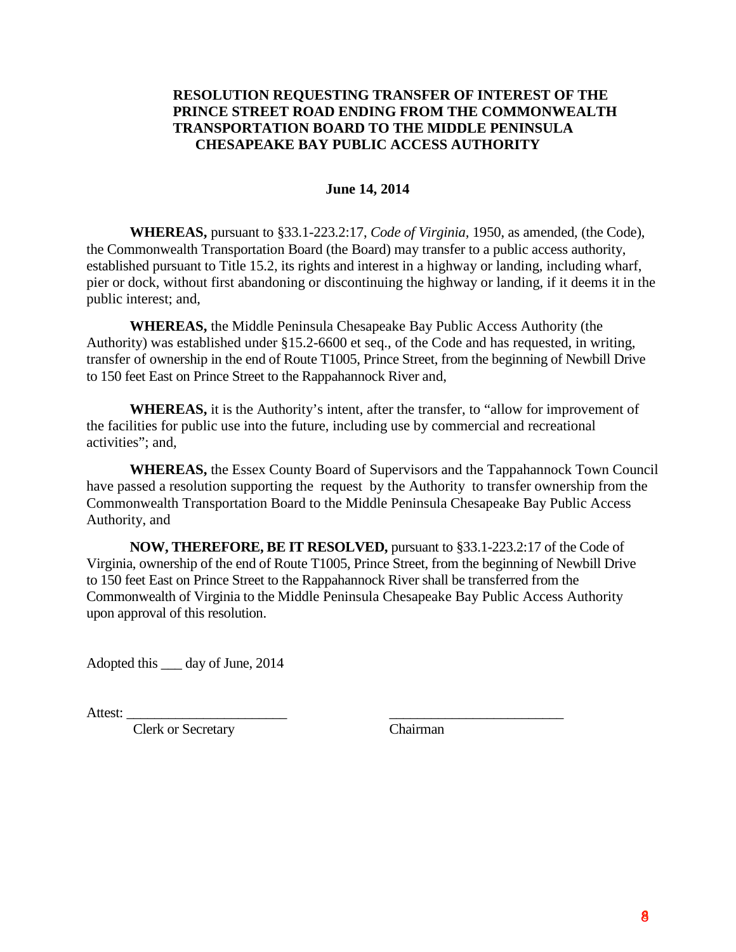#### **RESOLUTION REQUESTING TRANSFER OF INTEREST OF THE PRINCE STREET ROAD ENDING FROM THE COMMONWEALTH TRANSPORTATION BOARD TO THE MIDDLE PENINSULA CHESAPEAKE BAY PUBLIC ACCESS AUTHORITY**

#### **June 14, 2014**

**WHEREAS,** pursuant to §33.1-223.2:17, *Code of Virginia,* 1950, as amended, (the Code), the Commonwealth Transportation Board (the Board) may transfer to a public access authority, established pursuant to Title 15.2, its rights and interest in a highway or landing, including wharf, pier or dock, without first abandoning or discontinuing the highway or landing, if it deems it in the public interest; and,

**WHEREAS,** the Middle Peninsula Chesapeake Bay Public Access Authority (the Authority) was established under §15.2-6600 et seq., of the Code and has requested, in writing, transfer of ownership in the end of Route T1005, Prince Street, from the beginning of Newbill Drive to 150 feet East on Prince Street to the Rappahannock River and,

**WHEREAS,** it is the Authority's intent, after the transfer, to "allow for improvement of the facilities for public use into the future, including use by commercial and recreational activities"; and,

**WHEREAS,** the Essex County Board of Supervisors and the Tappahannock Town Council have passed a resolution supporting the request by the Authority to transfer ownership from the Commonwealth Transportation Board to the Middle Peninsula Chesapeake Bay Public Access Authority, and

**NOW, THEREFORE, BE IT RESOLVED,** pursuant to §33.1-223.2:17 of the Code of Virginia, ownership of the end of Route T1005, Prince Street, from the beginning of Newbill Drive to 150 feet East on Prince Street to the Rappahannock River shall be transferred from the Commonwealth of Virginia to the Middle Peninsula Chesapeake Bay Public Access Authority upon approval of this resolution.

Adopted this \_\_\_ day of June, 2014

Attest: \_\_\_\_\_\_\_\_\_\_\_\_\_\_\_\_\_\_\_\_\_\_\_ \_\_\_\_\_\_\_\_\_\_\_\_\_\_\_\_\_\_\_\_\_\_\_\_\_

Clerk or Secretary Chairman